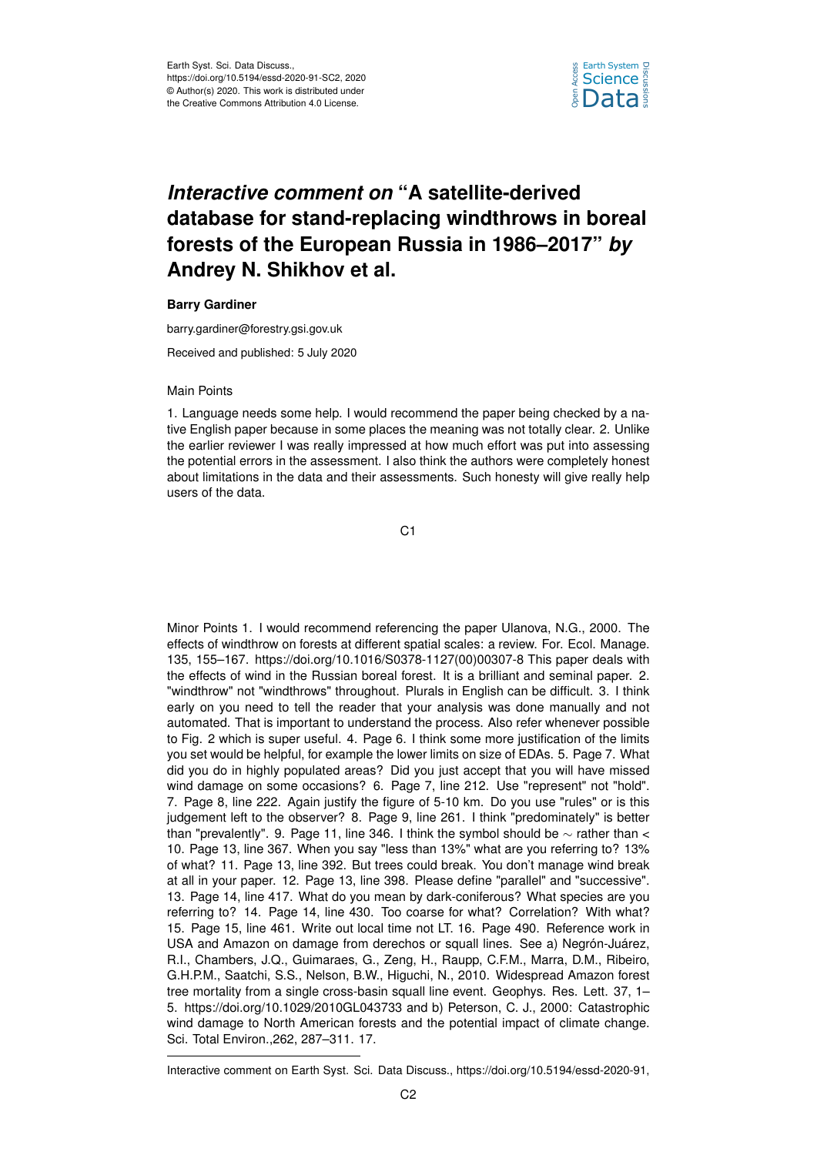

## *Interactive comment on* **"A satellite-derived database for stand-replacing windthrows in boreal forests of the European Russia in 1986–2017"** *by* **Andrey N. Shikhov et al.**

## **Barry Gardiner**

barry.gardiner@forestry.gsi.gov.uk

Received and published: 5 July 2020

## Main Points

1. Language needs some help. I would recommend the paper being checked by a native English paper because in some places the meaning was not totally clear. 2. Unlike the earlier reviewer I was really impressed at how much effort was put into assessing the potential errors in the assessment. I also think the authors were completely honest about limitations in the data and their assessments. Such honesty will give really help users of the data.

C1

Minor Points 1. I would recommend referencing the paper Ulanova, N.G., 2000. The effects of windthrow on forests at different spatial scales: a review. For. Ecol. Manage. 135, 155–167. https://doi.org/10.1016/S0378-1127(00)00307-8 This paper deals with the effects of wind in the Russian boreal forest. It is a brilliant and seminal paper. 2. "windthrow" not "windthrows" throughout. Plurals in English can be difficult. 3. I think early on you need to tell the reader that your analysis was done manually and not automated. That is important to understand the process. Also refer whenever possible to Fig. 2 which is super useful. 4. Page 6. I think some more justification of the limits you set would be helpful, for example the lower limits on size of EDAs. 5. Page 7. What did you do in highly populated areas? Did you just accept that you will have missed wind damage on some occasions? 6. Page 7, line 212. Use "represent" not "hold". 7. Page 8, line 222. Again justify the figure of 5-10 km. Do you use "rules" or is this judgement left to the observer? 8. Page 9, line 261. I think "predominately" is better than "prevalently". 9. Page 11, line 346. I think the symbol should be  $\sim$  rather than < 10. Page 13, line 367. When you say "less than 13%" what are you referring to? 13% of what? 11. Page 13, line 392. But trees could break. You don't manage wind break at all in your paper. 12. Page 13, line 398. Please define "parallel" and "successive". 13. Page 14, line 417. What do you mean by dark-coniferous? What species are you referring to? 14. Page 14, line 430. Too coarse for what? Correlation? With what? 15. Page 15, line 461. Write out local time not LT. 16. Page 490. Reference work in USA and Amazon on damage from derechos or squall lines. See a) Negrón-Juárez, R.I., Chambers, J.Q., Guimaraes, G., Zeng, H., Raupp, C.F.M., Marra, D.M., Ribeiro, G.H.P.M., Saatchi, S.S., Nelson, B.W., Higuchi, N., 2010. Widespread Amazon forest tree mortality from a single cross-basin squall line event. Geophys. Res. Lett. 37, 1– 5. https://doi.org/10.1029/2010GL043733 and b) Peterson, C. J., 2000: Catastrophic wind damage to North American forests and the potential impact of climate change. Sci. Total Environ.,262, 287–311. 17.

Interactive comment on Earth Syst. Sci. Data Discuss., https://doi.org/10.5194/essd-2020-91,